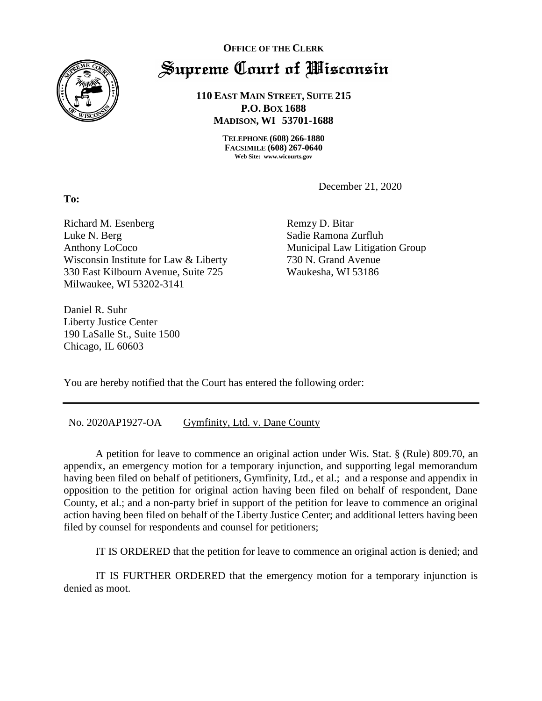

**To:** 

## **OFFICE OF THE CLERK** Supreme Court of Wisconsin

**110 EAST MAIN STREET, SUITE 215 P.O. BOX 1688 MADISON, WI 53701-1688**

> **TELEPHONE (608) 266-1880 FACSIMILE (608) 267-0640 Web Site: www.wicourts.gov**

> > December 21, 2020

Richard M. Esenberg Luke N. Berg Anthony LoCoco Wisconsin Institute for Law & Liberty 330 East Kilbourn Avenue, Suite 725 Milwaukee, WI 53202-3141

Daniel R. Suhr Liberty Justice Center 190 LaSalle St., Suite 1500 Chicago, IL 60603

Remzy D. Bitar Sadie Ramona Zurfluh Municipal Law Litigation Group 730 N. Grand Avenue Waukesha, WI 53186

You are hereby notified that the Court has entered the following order:

No. 2020AP1927-OA Gymfinity, Ltd. v. Dane County

A petition for leave to commence an original action under Wis. Stat. § (Rule) 809.70, an appendix, an emergency motion for a temporary injunction, and supporting legal memorandum having been filed on behalf of petitioners, Gymfinity, Ltd., et al.; and a response and appendix in opposition to the petition for original action having been filed on behalf of respondent, Dane County, et al.; and a non-party brief in support of the petition for leave to commence an original action having been filed on behalf of the Liberty Justice Center; and additional letters having been filed by counsel for respondents and counsel for petitioners;

IT IS ORDERED that the petition for leave to commence an original action is denied; and

IT IS FURTHER ORDERED that the emergency motion for a temporary injunction is denied as moot.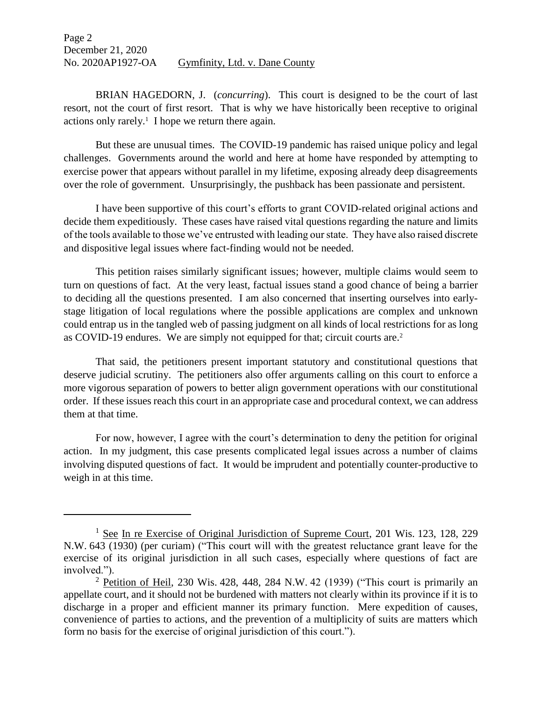Page 2 December 21, 2020 No. 2020AP1927-OA Gymfinity, Ltd. v. Dane County

BRIAN HAGEDORN, J. (*concurring*). This court is designed to be the court of last resort, not the court of first resort. That is why we have historically been receptive to original actions only rarely.<sup>1</sup> I hope we return there again.

But these are unusual times. The COVID-19 pandemic has raised unique policy and legal challenges. Governments around the world and here at home have responded by attempting to exercise power that appears without parallel in my lifetime, exposing already deep disagreements over the role of government. Unsurprisingly, the pushback has been passionate and persistent.

I have been supportive of this court's efforts to grant COVID-related original actions and decide them expeditiously. These cases have raised vital questions regarding the nature and limits of the tools available to those we've entrusted with leading our state. They have also raised discrete and dispositive legal issues where fact-finding would not be needed.

This petition raises similarly significant issues; however, multiple claims would seem to turn on questions of fact. At the very least, factual issues stand a good chance of being a barrier to deciding all the questions presented. I am also concerned that inserting ourselves into earlystage litigation of local regulations where the possible applications are complex and unknown could entrap us in the tangled web of passing judgment on all kinds of local restrictions for as long as COVID-19 endures. We are simply not equipped for that; circuit courts are. 2

That said, the petitioners present important statutory and constitutional questions that deserve judicial scrutiny. The petitioners also offer arguments calling on this court to enforce a more vigorous separation of powers to better align government operations with our constitutional order. If these issues reach this court in an appropriate case and procedural context, we can address them at that time.

For now, however, I agree with the court's determination to deny the petition for original action. In my judgment, this case presents complicated legal issues across a number of claims involving disputed questions of fact. It would be imprudent and potentially counter-productive to weigh in at this time.

 $\overline{a}$ 

<sup>&</sup>lt;sup>1</sup> See In re Exercise of Original Jurisdiction of Supreme Court, 201 Wis. 123, 128, 229 N.W. 643 (1930) (per curiam) ("This court will with the greatest reluctance grant leave for the exercise of its original jurisdiction in all such cases, especially where questions of fact are involved.").

<sup>&</sup>lt;sup>2</sup> Petition of Heil, 230 Wis. 428, 448, 284 N.W. 42 (1939) ("This court is primarily an appellate court, and it should not be burdened with matters not clearly within its province if it is to discharge in a proper and efficient manner its primary function. Mere expedition of causes, convenience of parties to actions, and the prevention of a multiplicity of suits are matters which form no basis for the exercise of original jurisdiction of this court.").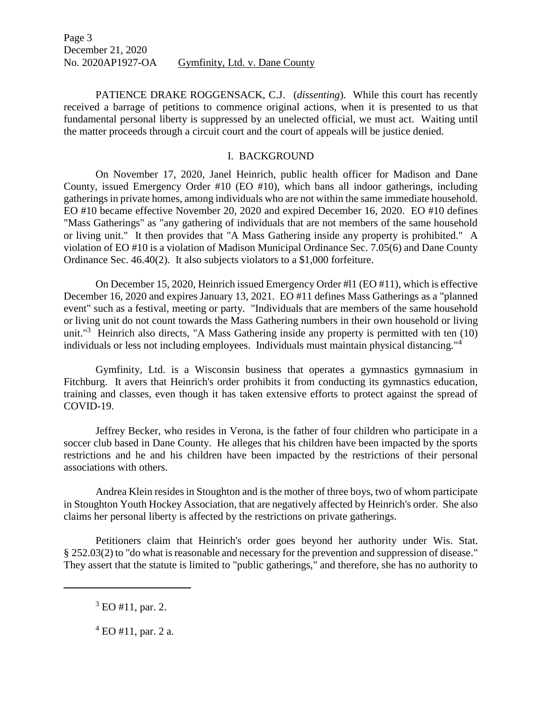PATIENCE DRAKE ROGGENSACK, C.J. (*dissenting*). While this court has recently received a barrage of petitions to commence original actions, when it is presented to us that fundamental personal liberty is suppressed by an unelected official, we must act. Waiting until the matter proceeds through a circuit court and the court of appeals will be justice denied.

## I. BACKGROUND

On November 17, 2020, Janel Heinrich, public health officer for Madison and Dane County, issued Emergency Order #10 (EO #10), which bans all indoor gatherings, including gatherings in private homes, among individuals who are not within the same immediate household. EO #10 became effective November 20, 2020 and expired December 16, 2020. EO #10 defines "Mass Gatherings" as "any gathering of individuals that are not members of the same household or living unit." It then provides that "A Mass Gathering inside any property is prohibited." A violation of EO #10 is a violation of Madison Municipal Ordinance Sec. 7.05(6) and Dane County Ordinance Sec. 46.40(2). It also subjects violators to a \$1,000 forfeiture.

On December 15, 2020, Heinrich issued Emergency Order #l1 (EO #11), which is effective December 16, 2020 and expires January 13, 2021. EO #11 defines Mass Gatherings as a "planned event" such as a festival, meeting or party. "Individuals that are members of the same household or living unit do not count towards the Mass Gathering numbers in their own household or living unit."<sup>3</sup> Heinrich also directs, "A Mass Gathering inside any property is permitted with ten (10) individuals or less not including employees. Individuals must maintain physical distancing."<sup>4</sup>

Gymfinity, Ltd. is a Wisconsin business that operates a gymnastics gymnasium in Fitchburg. It avers that Heinrich's order prohibits it from conducting its gymnastics education, training and classes, even though it has taken extensive efforts to protect against the spread of COVID-19.

Jeffrey Becker, who resides in Verona, is the father of four children who participate in a soccer club based in Dane County. He alleges that his children have been impacted by the sports restrictions and he and his children have been impacted by the restrictions of their personal associations with others.

Andrea Klein resides in Stoughton and is the mother of three boys, two of whom participate in Stoughton Youth Hockey Association, that are negatively affected by Heinrich's order. She also claims her personal liberty is affected by the restrictions on private gatherings.

Petitioners claim that Heinrich's order goes beyond her authority under Wis. Stat. § 252.03(2) to "do what is reasonable and necessary for the prevention and suppression of disease." They assert that the statute is limited to "public gatherings," and therefore, she has no authority to

 $\overline{\phantom{a}}$ 

 $3$  EO #11, par. 2.

 $4$  EO #11, par. 2 a.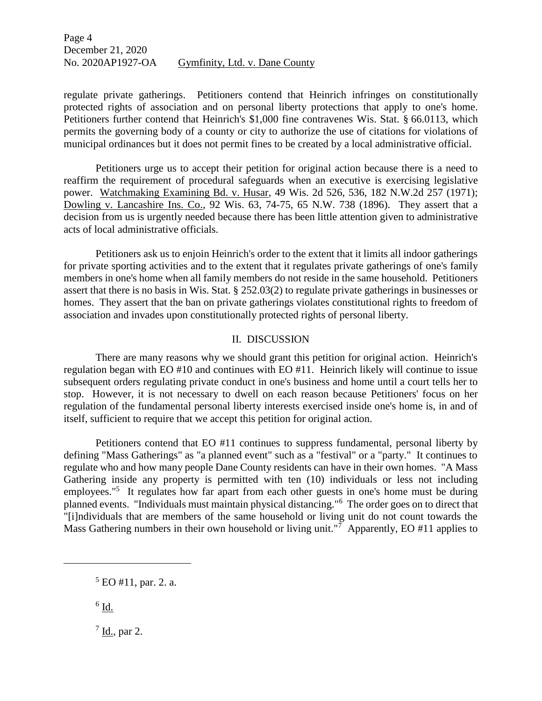regulate private gatherings. Petitioners contend that Heinrich infringes on constitutionally protected rights of association and on personal liberty protections that apply to one's home. Petitioners further contend that Heinrich's \$1,000 fine contravenes Wis. Stat. § 66.0113, which permits the governing body of a county or city to authorize the use of citations for violations of municipal ordinances but it does not permit fines to be created by a local administrative official.

Petitioners urge us to accept their petition for original action because there is a need to reaffirm the requirement of procedural safeguards when an executive is exercising legislative power. Watchmaking Examining Bd. v. Husar, 49 Wis. 2d 526, 536, 182 N.W.2d 257 (1971); Dowling v. Lancashire Ins. Co., 92 Wis. 63, 74-75, 65 N.W. 738 (1896). They assert that a decision from us is urgently needed because there has been little attention given to administrative acts of local administrative officials.

Petitioners ask us to enjoin Heinrich's order to the extent that it limits all indoor gatherings for private sporting activities and to the extent that it regulates private gatherings of one's family members in one's home when all family members do not reside in the same household. Petitioners assert that there is no basis in Wis. Stat. § 252.03(2) to regulate private gatherings in businesses or homes. They assert that the ban on private gatherings violates constitutional rights to freedom of association and invades upon constitutionally protected rights of personal liberty.

## II. DISCUSSION

There are many reasons why we should grant this petition for original action. Heinrich's regulation began with EO #10 and continues with EO #11. Heinrich likely will continue to issue subsequent orders regulating private conduct in one's business and home until a court tells her to stop. However, it is not necessary to dwell on each reason because Petitioners' focus on her regulation of the fundamental personal liberty interests exercised inside one's home is, in and of itself, sufficient to require that we accept this petition for original action.

Petitioners contend that EO #11 continues to suppress fundamental, personal liberty by defining "Mass Gatherings" as "a planned event" such as a "festival" or a "party." It continues to regulate who and how many people Dane County residents can have in their own homes. "A Mass Gathering inside any property is permitted with ten (10) individuals or less not including employees."<sup>5</sup> It regulates how far apart from each other guests in one's home must be during planned events. "Individuals must maintain physical distancing."<sup>6</sup> The order goes on to direct that "[i]ndividuals that are members of the same household or living unit do not count towards the Mass Gathering numbers in their own household or living unit."<sup>7</sup> Apparently, EO #11 applies to

l

 $\frac{7}{1}$  Id., par 2.

<sup>5</sup> EO #11, par. 2. a.

 $^6$  <u>Id.</u>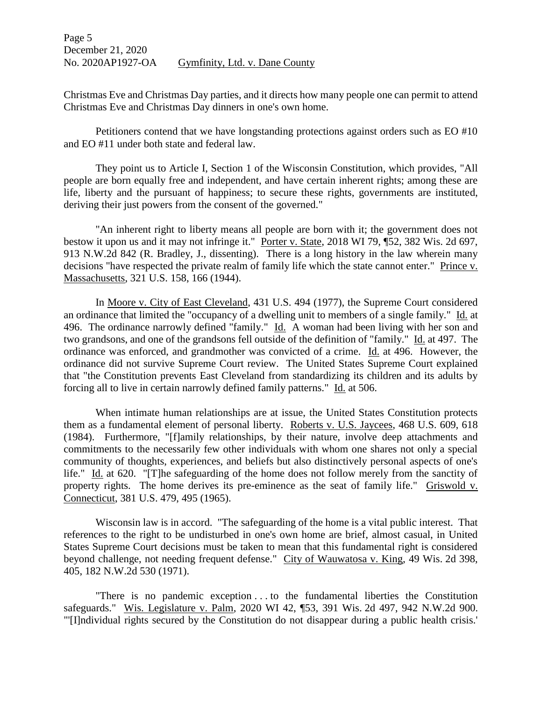Christmas Eve and Christmas Day parties, and it directs how many people one can permit to attend Christmas Eve and Christmas Day dinners in one's own home.

Petitioners contend that we have longstanding protections against orders such as EO #10 and EO #11 under both state and federal law.

They point us to Article I, Section 1 of the Wisconsin Constitution, which provides, "All people are born equally free and independent, and have certain inherent rights; among these are life, liberty and the pursuant of happiness; to secure these rights, governments are instituted, deriving their just powers from the consent of the governed."

"An inherent right to liberty means all people are born with it; the government does not bestow it upon us and it may not infringe it." Porter v. State, 2018 WI 79, ¶52, 382 Wis. 2d 697, 913 N.W.2d 842 (R. Bradley, J., dissenting). There is a long history in the law wherein many decisions "have respected the private realm of family life which the state cannot enter." Prince v. Massachusetts, 321 U.S. 158, 166 (1944).

In Moore v. City of East Cleveland, 431 U.S. 494 (1977), the Supreme Court considered an ordinance that limited the "occupancy of a dwelling unit to members of a single family." Id. at 496. The ordinance narrowly defined "family." Id. A woman had been living with her son and two grandsons, and one of the grandsons fell outside of the definition of "family." Id. at 497. The ordinance was enforced, and grandmother was convicted of a crime. Id. at 496. However, the ordinance did not survive Supreme Court review. The United States Supreme Court explained that "the Constitution prevents East Cleveland from standardizing its children and its adults by forcing all to live in certain narrowly defined family patterns." Id. at 506.

When intimate human relationships are at issue, the United States Constitution protects them as a fundamental element of personal liberty. Roberts v. U.S. Jaycees, 468 U.S. 609, 618 (1984). Furthermore, "[f]amily relationships, by their nature, involve deep attachments and commitments to the necessarily few other individuals with whom one shares not only a special community of thoughts, experiences, and beliefs but also distinctively personal aspects of one's life." Id. at 620. "[T]he safeguarding of the home does not follow merely from the sanctity of property rights. The home derives its pre-eminence as the seat of family life." Griswold v. Connecticut, 381 U.S. 479, 495 (1965).

Wisconsin law is in accord. "The safeguarding of the home is a vital public interest. That references to the right to be undisturbed in one's own home are brief, almost casual, in United States Supreme Court decisions must be taken to mean that this fundamental right is considered beyond challenge, not needing frequent defense." City of Wauwatosa v. King, 49 Wis. 2d 398, 405, 182 N.W.2d 530 (1971).

"There is no pandemic exception . . . to the fundamental liberties the Constitution safeguards." Wis. Legislature v. Palm, 2020 WI 42, ¶53, 391 Wis. 2d 497, 942 N.W.2d 900. "'[I]ndividual rights secured by the Constitution do not disappear during a public health crisis.'